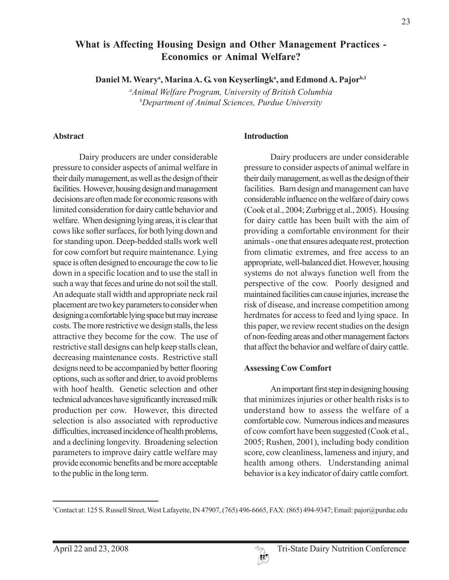# **What is Affecting Housing Design and Other Management Practices - Economics or Animal Welfare?**

Daniel M. Weary<sup>a</sup>, Marina A. G. von Keyserlingk<sup>a</sup>, and Edmond A. Pajor<sup>b,1</sup>

*a Animal Welfare Program, University of British Columbia b Department of Animal Sciences, Purdue University*

### **Abstract**

Dairy producers are under considerable pressure to consider aspects of animal welfare in their daily management, as well as the design of their facilities. However, housing design and management decisions are often made for economic reasons with limited consideration for dairy cattle behavior and welfare. When designing lying areas, it is clear that cows like softer surfaces, for both lying down and for standing upon. Deep-bedded stalls work well for cow comfort but require maintenance. Lying space is often designed to encourage the cow to lie down in a specific location and to use the stall in such a way that feces and urine do not soil the stall. An adequate stall width and appropriate neck rail placement are two key parameters to consider when designing a comfortable lying space but may increase costs. The more restrictive we design stalls, the less attractive they become for the cow. The use of restrictive stall designs can help keep stalls clean, decreasing maintenance costs. Restrictive stall designs need to be accompanied by better flooring options, such as softer and drier, to avoid problems with hoof health. Genetic selection and other technical advances have significantly increased milk production per cow. However, this directed selection is also associated with reproductive difficulties, increased incidence of health problems, and a declining longevity. Broadening selection parameters to improve dairy cattle welfare may provide economic benefits and be more acceptable to the public in the long term.

#### **Introduction**

Dairy producers are under considerable pressure to consider aspects of animal welfare in their daily management, as well as the design of their facilities. Barn design and management can have considerable influence on the welfare of dairy cows (Cook et al., 2004; Zurbrigg et al., 2005). Housing for dairy cattle has been built with the aim of providing a comfortable environment for their animals - one that ensures adequate rest, protection from climatic extremes, and free access to an appropriate, well-balanced diet. However, housing systems do not always function well from the perspective of the cow. Poorly designed and maintained facilities can cause injuries, increase the risk of disease, and increase competition among herdmates for access to feed and lying space. In this paper, we review recent studies on the design of non-feeding areas and other management factors that affect the behavior and welfare of dairy cattle.

## **Assessing Cow Comfort**

An important first step in designing housing that minimizes injuries or other health risks is to understand how to assess the welfare of a comfortable cow. Numerous indices and measures of cow comfort have been suggested (Cook et al., 2005; Rushen, 2001), including body condition score, cow cleanliness, lameness and injury, and health among others. Understanding animal behavior is a key indicator of dairy cattle comfort.

<sup>1</sup> Contact at: 125 S. Russell Street, West Lafayette, IN 47907, (765) 496-6665, FAX: (865) 494-9347; Email: pajor@purdue.edu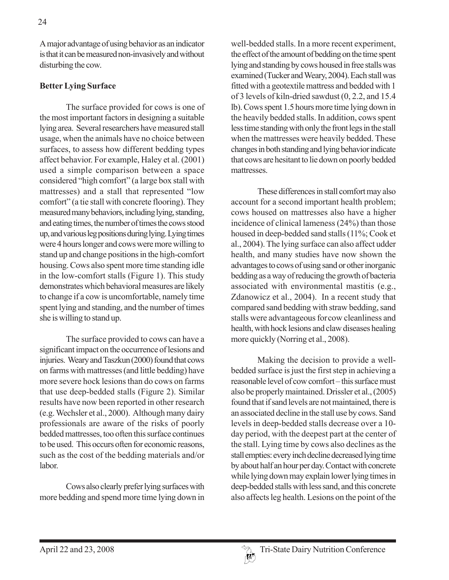A major advantage of using behavior as an indicator is that it can be measured non-invasively and without disturbing the cow.

## **Better Lying Surface**

The surface provided for cows is one of the most important factors in designing a suitable lying area. Several researchers have measured stall usage, when the animals have no choice between surfaces, to assess how different bedding types affect behavior. For example, Haley et al. (2001) used a simple comparison between a space considered "high comfort" (a large box stall with mattresses) and a stall that represented "low comfort" (a tie stall with concrete flooring). They measured many behaviors, including lying, standing, and eating times, the number of times the cows stood up, and various leg positions during lying. Lying times were 4 hours longer and cows were more willing to stand up and change positions in the high-comfort housing. Cows also spent more time standing idle in the low-comfort stalls (Figure 1). This study demonstrates which behavioral measures are likely to change if a cow is uncomfortable, namely time spent lying and standing, and the number of times she is willing to stand up.

The surface provided to cows can have a significant impact on the occurrence of lesions and injuries. Weary and Taszkun (2000) found that cows on farms with mattresses (and little bedding) have more severe hock lesions than do cows on farms that use deep-bedded stalls (Figure 2). Similar results have now been reported in other research (e.g. Wechsler et al., 2000). Although many dairy professionals are aware of the risks of poorly bedded mattresses, too often this surface continues to be used. This occurs often for economic reasons, such as the cost of the bedding materials and/or labor.

Cows also clearly prefer lying surfaces with more bedding and spend more time lying down in

well-bedded stalls. In a more recent experiment, the effect of the amount of bedding on the time spent lying and standing by cows housed in free stalls was examined (Tucker and Weary, 2004). Each stall was fitted with a geotextile mattress and bedded with 1 of 3 levels of kiln-dried sawdust (0, 2.2, and 15.4 lb). Cows spent 1.5 hours more time lying down in the heavily bedded stalls. In addition, cows spent less time standing with only the front legs in the stall when the mattresses were heavily bedded. These changes in both standing and lying behavior indicate that cows are hesitant to lie down on poorly bedded mattresses.

These differences in stall comfort may also account for a second important health problem; cows housed on mattresses also have a higher incidence of clinical lameness (24%) than those housed in deep-bedded sand stalls (11%; Cook et al., 2004). The lying surface can also affect udder health, and many studies have now shown the advantages to cows of using sand or other inorganic bedding as a way of reducing the growth of bacteria associated with environmental mastitis (e.g., Zdanowicz et al., 2004). In a recent study that compared sand bedding with straw bedding, sand stalls were advantageous forcow cleanliness and health, with hock lesions and claw diseases healing more quickly (Norring et al., 2008).

Making the decision to provide a wellbedded surface is just the first step in achieving a reasonable level of cow comfort – this surface must also be properly maintained. Drissler et al., (2005) found that if sand levels are not maintained, there is an associated decline in the stall use by cows. Sand levels in deep-bedded stalls decrease over a 10 day period, with the deepest part at the center of the stall. Lying time by cows also declines as the stall empties: every inch decline decreased lying time by about half an hour per day. Contact with concrete while lying down may explain lower lying times in deep-bedded stalls with less sand, and this concrete also affects leg health. Lesions on the point of the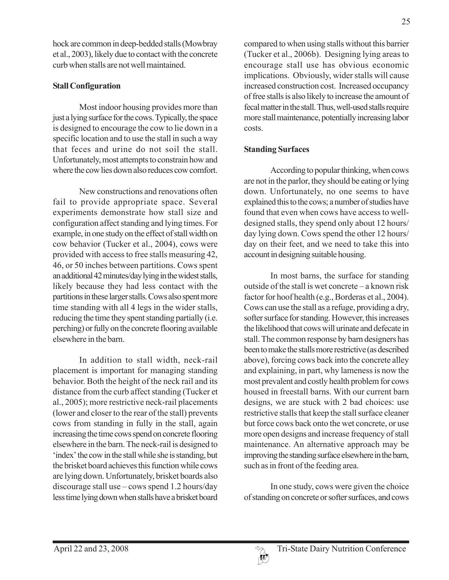hock are common in deep-bedded stalls (Mowbray et al., 2003), likely due to contact with the concrete curb when stalls are not well maintained.

## **Stall Configuration**

Most indoor housing provides more than just a lying surface for the cows. Typically, the space is designed to encourage the cow to lie down in a specific location and to use the stall in such a way that feces and urine do not soil the stall. Unfortunately, most attempts to constrain how and where the cow lies down also reduces cow comfort.

New constructions and renovations often fail to provide appropriate space. Several experiments demonstrate how stall size and configuration affect standing and lying times. For example, in one study on the effect of stall width on cow behavior (Tucker et al., 2004), cows were provided with access to free stalls measuring 42, 46, or 50 inches between partitions. Cows spent an additional 42 minutes/day lying in the widest stalls, likely because they had less contact with the partitions in these larger stalls. Cows also spent more time standing with all 4 legs in the wider stalls, reducing the time they spent standing partially (i.e. perching) or fully on the concrete flooring available elsewhere in the barn.

In addition to stall width, neck-rail placement is important for managing standing behavior. Both the height of the neck rail and its distance from the curb affect standing (Tucker et al., 2005); more restrictive neck-rail placements (lower and closer to the rear of the stall) prevents cows from standing in fully in the stall, again increasing the time cows spend on concrete flooring elsewhere in the barn. The neck-rail is designed to 'index' the cow in the stall while she is standing, but the brisket board achieves this function while cows are lying down. Unfortunately, brisket boards also discourage stall use – cows spend 1.2 hours/day less time lying down when stalls have a brisket board

compared to when using stalls without this barrier (Tucker et al., 2006b). Designing lying areas to encourage stall use has obvious economic implications. Obviously, wider stalls will cause increased construction cost. Increased occupancy of free stalls is also likely to increase the amount of fecal matter in the stall. Thus, well-used stalls require more stall maintenance, potentially increasing labor costs.

# **Standing Surfaces**

According to popular thinking, when cows are not in the parlor, they should be eating or lying down. Unfortunately, no one seems to have explained this to the cows; a number of studies have found that even when cows have access to welldesigned stalls, they spend only about 12 hours/ day lying down. Cows spend the other 12 hours/ day on their feet, and we need to take this into account in designing suitable housing.

In most barns, the surface for standing outside of the stall is wet concrete – a known risk factor for hoof health (e.g., Borderas et al., 2004). Cows can use the stall as a refuge, providing a dry, softer surface for standing. However, this increases the likelihood that cows will urinate and defecate in stall. The common response by barn designers has been to make the stalls more restrictive (as described above), forcing cows back into the concrete alley and explaining, in part, why lameness is now the most prevalent and costly health problem for cows housed in freestall barns. With our current barn designs, we are stuck with 2 bad choices: use restrictive stalls that keep the stall surface cleaner but force cows back onto the wet concrete, or use more open designs and increase frequency of stall maintenance. An alternative approach may be improving the standing surface elsewhere in the barn, such as in front of the feeding area.

In one study, cows were given the choice of standing on concrete or softer surfaces, and cows

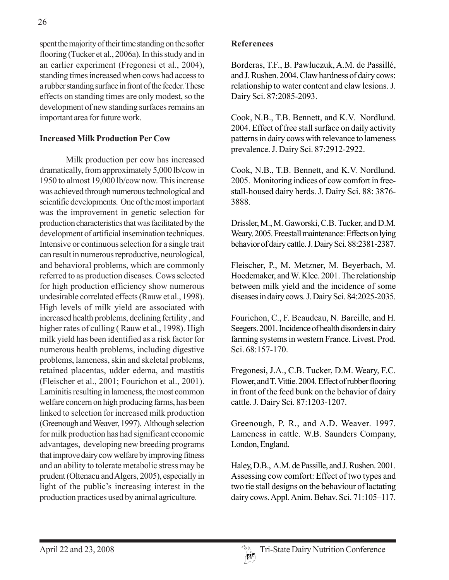spent the majority of their time standing on the softer flooring (Tucker et al., 2006a). In this study and in an earlier experiment (Fregonesi et al., 2004), standing times increased when cows had access to a rubber standing surface in front of the feeder. These effects on standing times are only modest, so the development of new standing surfaces remains an important area for future work.

## **Increased Milk Production Per Cow**

Milk production per cow has increased dramatically, from approximately 5,000 lb/cow in 1950 to almost 19,000 lb/cow now. This increase was achieved through numerous technological and scientific developments. One of the most important was the improvement in genetic selection for production characteristics that was facilitated by the development of artificial insemination techniques. Intensive or continuous selection for a single trait can result in numerous reproductive, neurological, and behavioral problems, which are commonly referred to as production diseases. Cows selected for high production efficiency show numerous undesirable correlated effects (Rauw et al., 1998). High levels of milk yield are associated with increased health problems, declining fertility , and higher rates of culling ( Rauw et al., 1998). High milk yield has been identified as a risk factor for numerous health problems, including digestive problems, lameness, skin and skeletal problems, retained placentas, udder edema, and mastitis (Fleischer et al., 2001; Fourichon et al., 2001). Laminitis resulting in lameness, the most common welfare concern on high producing farms, has been linked to selection for increased milk production (Greenough and Weaver, 1997). Although selection for milk production has had significant economic advantages, developing new breeding programs that improve dairy cow welfare by improving fitness and an ability to tolerate metabolic stress may be prudent (Oltenacu and Algers, 2005), especially in light of the public's increasing interest in the production practices used by animal agriculture.

### **References**

Borderas, T.F., B. Pawluczuk, A.M. de Passillé, and J. Rushen. 2004. Claw hardness of dairy cows: relationship to water content and claw lesions. J. Dairy Sci. 87:2085-2093.

Cook, N.B., T.B. Bennett, and K.V. Nordlund. 2004. Effect of free stall surface on daily activity patterns in dairy cows with relevance to lameness prevalence. J. Dairy Sci. 87:2912-2922.

Cook, N.B., T.B. Bennett, and K.V. Nordlund. 2005.Monitoring indices of cow comfort in freestall-housed dairy herds. J. Dairy Sci. 88: 3876- 3888.

Drissler, M., M. Gaworski, C.B. Tucker, and D.M. Weary. 2005. Freestall maintenance: Effects on lying behavior of dairy cattle. J. Dairy Sci. 88:2381-2387.

Fleischer, P., M. Metzner, M. Beyerbach, M. Hoedemaker, and W. Klee. 2001. The relationship between milk yield and the incidence of some diseases in dairy cows. J. Dairy Sci. 84:2025-2035.

Fourichon, C., F. Beaudeau, N. Bareille, and H. Seegers. 2001. Incidence of health disorders in dairy farming systems in western France. Livest. Prod. Sci. 68:157-170.

Fregonesi, J.A., C.B. Tucker, D.M. Weary, F.C. Flower, and T. Vittie. 2004. Effect of rubber flooring in front of the feed bunk on the behavior of dairy cattle. J. Dairy Sci. 87:1203-1207.

Greenough, P. R., and A.D. Weaver. 1997. Lameness in cattle. W.B. Saunders Company, London, England.

Haley, D.B., A.M. de Passille, and J. Rushen. 2001. Assessing cow comfort: Effect of two types and two tie stall designs on the behaviour of lactating dairy cows. Appl. Anim. Behav. Sci. 71:105–117.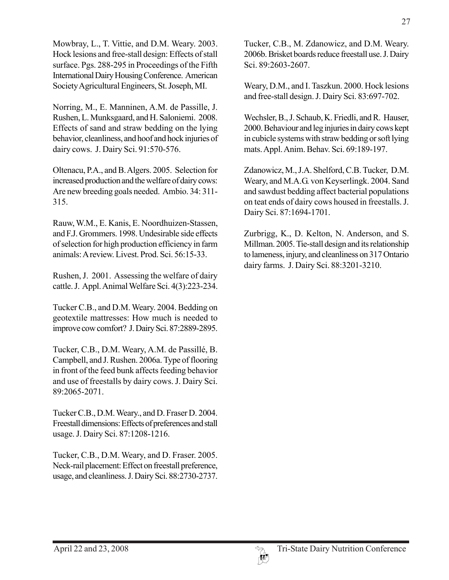Mowbray, L., T. Vittie, and D.M. Weary. 2003. Hock lesions and free-stall design: Effects of stall surface. Pgs. 288-295 in Proceedings of the Fifth International Dairy Housing Conference. American Society Agricultural Engineers, St. Joseph, MI.

Norring, M., E. Manninen, A.M. de Passille, J. Rushen, L. Munksgaard, and H. Saloniemi. 2008. Effects of sand and straw bedding on the lying behavior, cleanliness, and hoof and hock injuries of dairy cows. J. Dairy Sci. 91:570-576.

Oltenacu, P.A., and B. Algers. 2005. Selection for increased production and the welfare of dairy cows: Are new breeding goals needed. Ambio. 34: 311- 315.

Rauw, W.M., E. Kanis, E. Noordhuizen-Stassen, and F.J. Grommers. 1998. Undesirable side effects of selection for high production efficiency in farm animals: A review. Livest. Prod. Sci. 56:15-33.

Rushen, J. 2001. Assessing the welfare of dairy cattle. J. Appl. Animal Welfare Sci. 4(3):223-234.

Tucker C.B., and D.M. Weary. 2004. Bedding on geotextile mattresses: How much is needed to improve cow comfort? J. Dairy Sci. 87:2889-2895.

Tucker, C.B., D.M. Weary, A.M. de Passillé, B. Campbell, and J. Rushen. 2006a. Type of flooring in front of the feed bunk affects feeding behavior and use of freestalls by dairy cows. J. Dairy Sci. 89:2065-2071.

Tucker C.B., D.M. Weary., and D. Fraser D. 2004. Freestall dimensions: Effects of preferences and stall usage. J. Dairy Sci. 87:1208-1216.

Tucker, C.B., D.M. Weary, and D. Fraser. 2005. Neck-rail placement: Effect on freestall preference, usage, and cleanliness. J. Dairy Sci. 88:2730-2737.

Tucker, C.B., M. Zdanowicz, and D.M. Weary. 2006b. Brisket boards reduce freestall use. J. Dairy Sci. 89:2603-2607.

Weary, D.M., and I. Taszkun. 2000. Hock lesions and free-stall design. J. Dairy Sci. 83:697-702.

Wechsler, B., J. Schaub, K. Friedli, and R. Hauser, 2000. Behaviour and leg injuries in dairy cows kept in cubicle systems with straw bedding or soft lying mats. Appl. Anim. Behav. Sci. 69:189-197.

Zdanowicz, M., J.A. Shelford, C.B. Tucker, D.M. Weary, and M.A.G. von Keyserlingk. 2004. Sand and sawdust bedding affect bacterial populations on teat ends of dairy cows housed in freestalls. J. Dairy Sci. 87:1694-1701.

Zurbrigg, K., D. Kelton, N. Anderson, and S. Millman. 2005. Tie-stall design and its relationship to lameness, injury, and cleanliness on 317 Ontario dairy farms. J. Dairy Sci. 88:3201-3210.